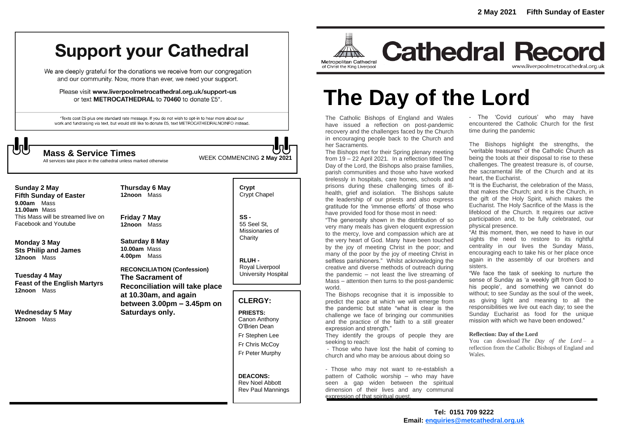# **Support your Cathedral**

We are deeply grateful for the donations we receive from our congregation and our community. Now, more than ever, we need your support.

Please visit www.liverpoolmetrocathedral.org.uk/support-us or text METROCATHEDRAL to 70460 to donate £5\*.

\*Texts cost £5 plus one standard rate message. If you do not wish to opt-in to hear more about our work and fundraising via text, but would still like to donate £5, text METROCATHEDRALNOINFO instead.



WEEK COMMENCING **2 May <sup>2021</sup> Mass & Service Times**

All services take place in the cathedral unless marked otherwise

**Sunday 2 May Fifth Sunday of Easter 9.00am** Mass **11.00am** Mass This Mass will be streamed live on Facebook and Youtube

**Monday 3 May Sts Philip and James 12noon** Mass

**Tuesday 4 May Feast of the English Martyrs 12noon** Mass

**Wednesday 5 May 12noon** Mass

**Thursday 6 May 12noon** Mass

**Friday 7 May 12noon** Mass

**Saturday 8 May 10.00am** Mass **4.00pm** Mass

**RECONCILIATION (Confession) The Sacrament of Reconciliation will take place at 10.30am, and again between 3.00pm – 3.45pm on Saturdays only.**

**Crypt**  Crypt Chapel

**SS -** 55 Seel St, Missionaries of **Charity** 

**RLUH -** Royal Liverpool University Hospital

### **CLERGY:**

**PRIESTS:** Canon Anthony O'Brien *Dean*

Fr Stephen Lee

Fr Chris McCoy

Fr Peter Murphy

#### **DEACONS:** Rev Noel Abbott

Rev Paul Mannings



**Cathedral Record** www.liverpoolmetrocathedral.org.uk

# **The Day of the Lord**

The Catholic Bishops of England and Wales have issued a reflection on post-pandemic recovery and the challenges faced by the Church in encouraging people back to the Church and her Sacraments.

The Bishops met for their Spring plenary meeting from 19 – 22 April 2021. In a reflection titled *The Day of the Lord*, the Bishops also praise families, parish communities and those who have worked tirelessly in hospitals, care homes, schools and prisons during these challenging times of illhealth, grief and isolation. The Bishops salute the leadership of our priests and also express gratitude for the 'immense efforts' of those who have provided food for those most in need:

"The generosity shown in the distribution of so very many meals has given eloquent expression to the mercy, love and compassion which are at the very heart of God. Many have been touched by the joy of meeting Christ in the poor; and many of the poor by the joy of meeting Christ in selfless parishioners." Whilst acknowledging the creative and diverse methods of outreach during the pandemic – not least the live streaming of Mass – attention then turns to the post-pandemic world.

The Bishops recognise that it is impossible to predict the pace at which we will emerge from the pandemic but state "what is clear is the challenge we face of bringing our communities and the practice of the faith to a still greater expression and strength."

They identify the groups of people they are seeking to reach:

- Those who have lost the habit of coming to church and who may be anxious about doing so

- Those who may not want to re-establish a pattern of Catholic worship – who may have seen a gap widen between the spiritual dimension of their lives and any communal expression of that spiritual quest.

- The 'Covid curious' who may have encountered the Catholic Church for the first time during the pandemic

The Bishops highlight the strengths, the "veritable treasures" of the Catholic Church as being the tools at their disposal to rise to these challenges. The greatest treasure is, of course, the sacramental life of the Church and at its heart, the Eucharist.

"It is the Eucharist, the celebration of the Mass, that makes the Church; and it is the Church, in the gift of the Holy Spirit, which makes the Eucharist. The Holy Sacrifice of the Mass is the lifeblood of the Church. It requires our active participation and, to be fully celebrated, our physical presence.

"At this moment, then, we need to have in our sights the need to restore to its rightful centrality in our lives the Sunday Mass, encouraging each to take his or her place once again in the assembly of our brothers and sisters.

"We face the task of seeking to nurture the sense of Sunday as 'a weekly gift from God to his people', and something we cannot do without; to see Sunday as the soul of the week, as giving light and meaning to all the responsibilities we live out each day; to see the Sunday Eucharist as food for the unique mission with which we have been endowed."

#### **Reflection: Day of the Lord**

You can download *The Day of the Lord* – a reflection from the Catholic Bishops of England and Wales.